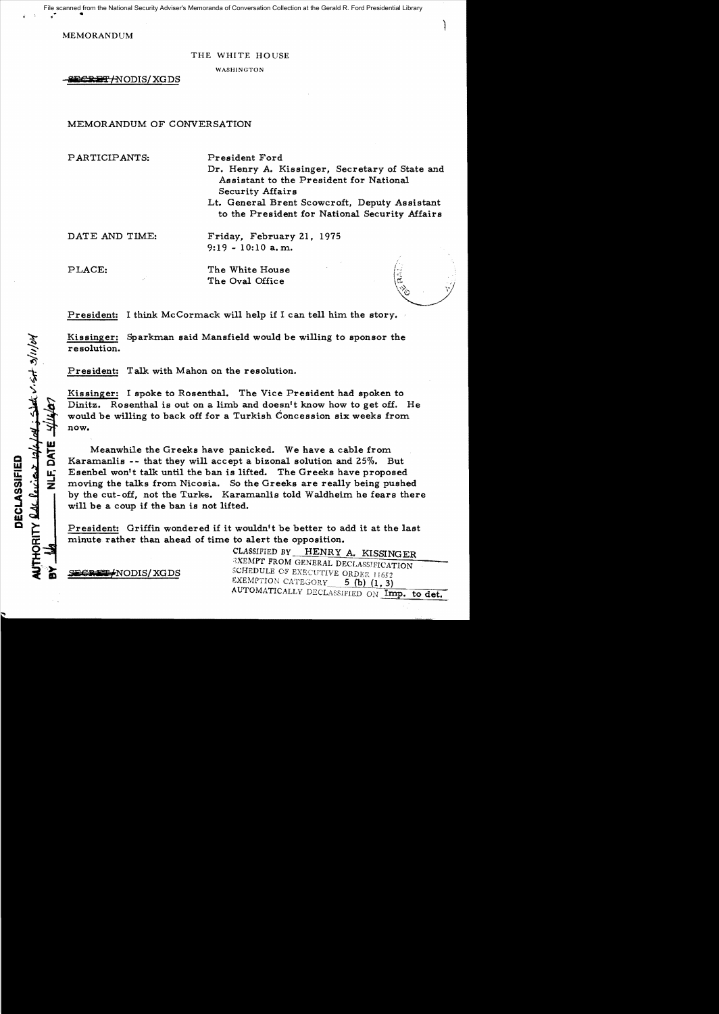File scanned from the National Security Adviser's Memoranda of Conversation Collection at the Gerald R. Ford Presidential Library<br>
•

MEMORANDUM

THE WHITE HOUSE

WASHINGTON

\_ e**RliEF** IN.ODIS/ XGDS

MEMORANDUM OF CONVERSATION

PARTICIPANTS:

President Ford

Dr. Henry A. Kissinger, Secretary of State and Assistant to the President for National Security Affairs

Lt. General Brent Scowcroft, Deputy Assistant to the President for National Security Affairs

DATE AND TIME:

Friday, February 21, 1975  $9:19 - 10:10$  a.m.

PLACE: The White House The Oval Office

President: I think McCormack will help if I can tell him the story.

Kissinger: Sparkman said Mansfield would be willing to sponsor the re solution.

President: Talk with Mahon on the resolution.

Kis singer: I spoke to Rosenthal. The Vice President had spoken to Dinitz. Rosenthal is out on a limb and doesn't know how to get off. He would be willing to back off for a Turkish Concession six weeks from now.

Meanwhile the Greeks have panicked. We have a cable from Karamanlis -- that they will accept a bizonal solution and 25%. But Esenbel won't talk until the ban is lifted. The Greeks have proposed moving the talks from Nicosia. So the Greeks are really being pushed by the cut-off, not the Turks. Karamanlis told Waldheim he fears there will be a coup if the ban is not lifted.

President: Griffin wondered if it wouldn't be better to add it at the last minute rather than ahead of time to alert the opposition.

CLASSIFIED BY HENRY A. KISSINGER <sup>3</sup>XEMPT FROM GENERAL DECLASSIFICATION SECRET NODIS/XGDS SCHEDULE OF EXECUTIVE ORDER 11652 EXEMPTION CATEGORY 5 (b) (1, 3) AUTOMATICALLY DECLASSIFIED ON Imp. to det.

oll: Set v.St 3/11/04 **NLF, DATE THORITY** levines to DECLASSIFIE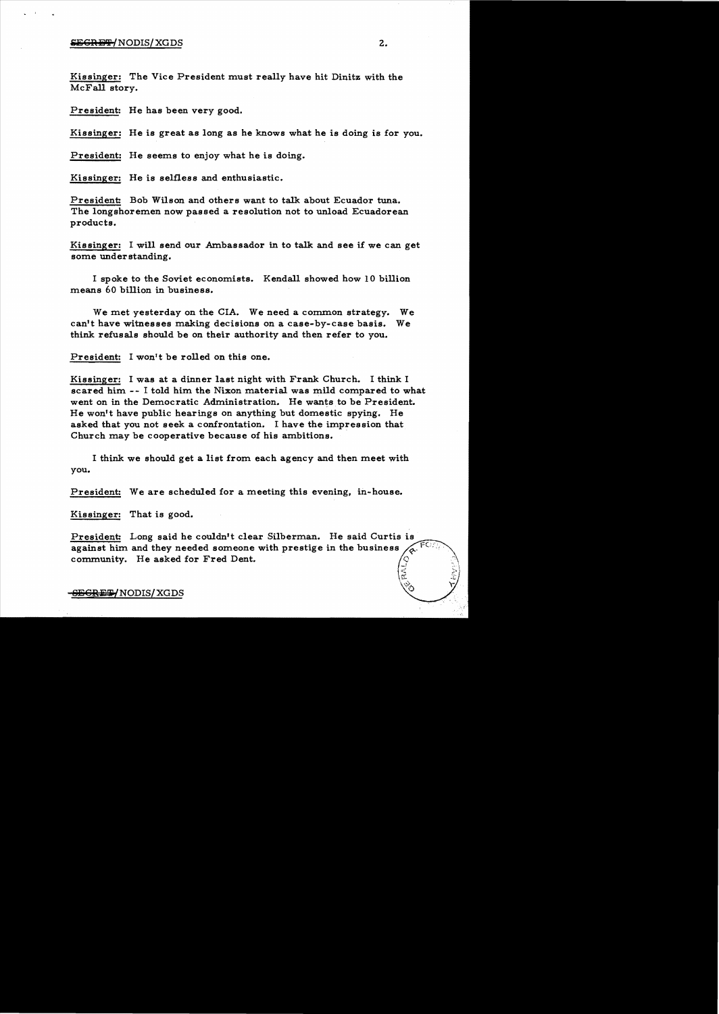## **iiiGRE'i** */NODISj* XaDS 2.

Kissinger: The Vice President must really have hit Dinitz with the McFall story.

President: He has been very good.

Kissinger: He is great as long as he knows what he is doing is for you.

President: He seems to enjoy what he is doing.

Kissinger: He is selfless and enthusiastic.

President: Bob Wilson and others want to talk about Ecuador tuna. The longshoremen now passed a resolution not to unload Ecuadorean products.

Kissinger: I will send our Ambassador in to talk and see if we can get some understanding.

I spoke to the Soviet economists. Kendall showed how 10 billion means 60 billion in business.

We met yesterday on the CIA. We need a common strategy. We can't have witnesses making decisions on a case-by-case basis. We think refusals should be on their authority and then refer to you.

President: I won't be rolled on this one.

Kissinger: I was at a dinner last night with Frank Church. I think I scared him -- I told him the Nixon material was mild compared to what went on in the Democratic Administration. He wants to be President. He won't have public hearings on anything but domestic spying. He asked that you not seek a confrontation. I have the impression that Church may be cooperative because of his ambitions.

I think we should get a list from each agency and then meet with you.

President: We are scheduled for a meeting this evening, in-house.

Kissinger: That is good.

President: Long said he couldn't clear Silberman. He said Curtis is President: Long said ne couldn't clear Silberman. He said Curtis is<br>against him and they needed someone with prestige in the business  $\overline{A}$ . FOR President: Long said he couldn't clear Silberman. He said Curtis is against him and they needed someone with prestige in the business  $\left(\begin{matrix} 0 & 0 \\ 0 & 0 \end{matrix}\right)$  community. He asked for Fred Dent. S!§iGBE!1NODISj xaDS U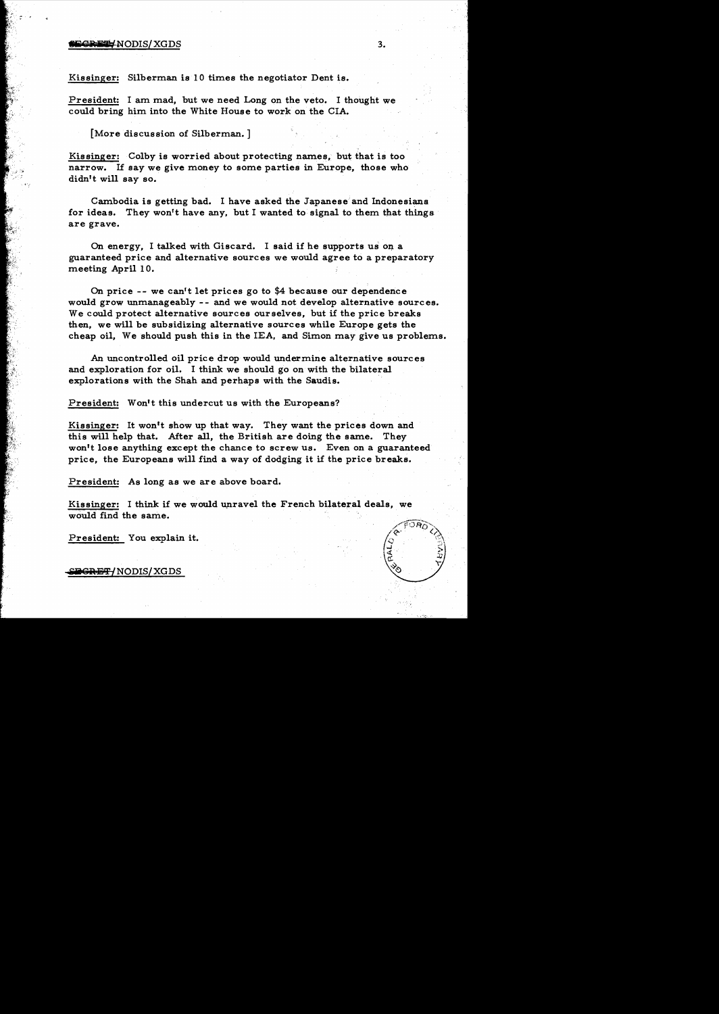## $\blacksquare$   $\blacksquare$   $\blacksquare$   $\blacksquare$   $\blacksquare$   $\blacksquare$   $\blacksquare$   $\blacksquare$   $\blacksquare$   $\blacksquare$   $\blacksquare$   $\blacksquare$   $\blacksquare$   $\blacksquare$   $\blacksquare$   $\blacksquare$   $\blacksquare$   $\blacksquare$   $\blacksquare$   $\blacksquare$   $\blacksquare$   $\blacksquare$   $\blacksquare$   $\blacksquare$   $\blacksquare$   $\blacksquare$   $\blacksquare$   $\blacksquare$   $\blacksquare$   $\blacksquare$   $\blacksquare$   $\blacks$

Kissinger: Silberman is 10 times the negotiator Dent is.

President: I am mad, but we need Long on the veto. I thought we could bring him into the White House to work on the CIA.

[More discussion of Silberman.]

Kissinger: Colby is worried about protecting names, but that is too narrow. If say we give money to some parties in Europe, those who didn't will say so.

Cambodia is getting bad. I have asked the Japanese' and Indonesians for ideas. They won't have any, but I wanted to signal to them that things are grave.

On energy, I talked with Giscard. I said if he supports us on a guaranteed price and alternative sources we would agree to a preparatory meeting April 10.

On price -- we can't let prices go to \$4 because our dependence would grow unmanageably -- and we would not develop alternative sources. We could protect alternative sources ourselves, but if the price breaks then, we will be subsidizing alternative sources while Europe gets the cheap oil, We should push this in the lEA, and Simon may give us problems.

An uncontrolled oil price drop would undermine alternative sources and exploration for oil. I think we should go on with the bilateral explorations with the Shah and perhaps with the Saudis. '

President: Won't this undercut us with the Europeans?

Kissinger: It won't show up that way. They want the prices down and this will help that. After all, the British are doing the same. They won't lose anything except the chance to screw us. Even on a guaranteed price, the Europeans will find a way of dodging it if the price breaks.

President: As long as we are above board.

Kissinger: I think if we would unravel the French bilateral deals, we would find the same.

President: You explain it.

**BGRET/NODIS/XGDS**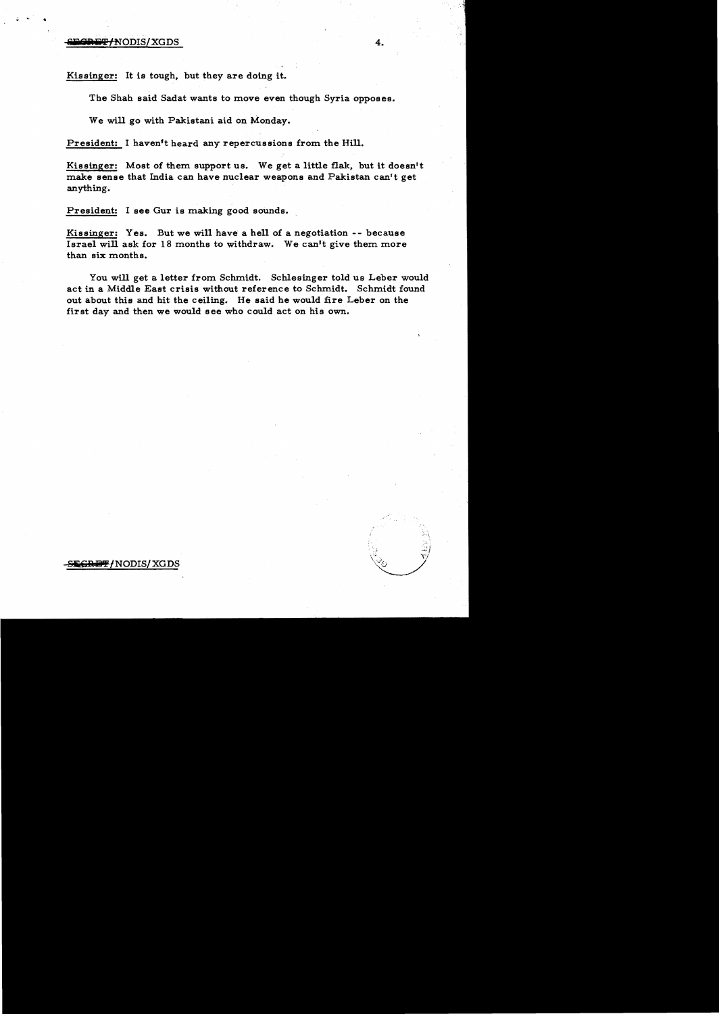## $\frac{1}{4}$ NODIS/XGDS 4.

 $\mathcal{L}$  ,  $\mathcal{L}$  ,  $\mathcal{L}$ 

Kissinger: It is tough, but they are doing it.

The Shah said Sadat wants to move even though Syria opposes.

We will go with Pakistani aid on Monday.

President: I haven't heard any repercussions from the Hill.

Kissinger: Most of them support us. We get a little flak, but it doesn't make sense that India can have nuclear weapons and Pakistan can't get anything.

President: I see Gur is making good sounds.

Kissinger: Yes. But we will have a hell of a negotiation -- because Israel will ask for 18 months to withdraw. We can't give them more than six months.

You will get a letter from Schmidt. Schlesinger told us Leber would act in a Middle East crisis without reference to Schmidt. Schmidt found out about this and hit the ceiling. He said he would fire Leber on the first day and then we would see who could act on his own.

S<del>RET/</del>NODIS/ XG DS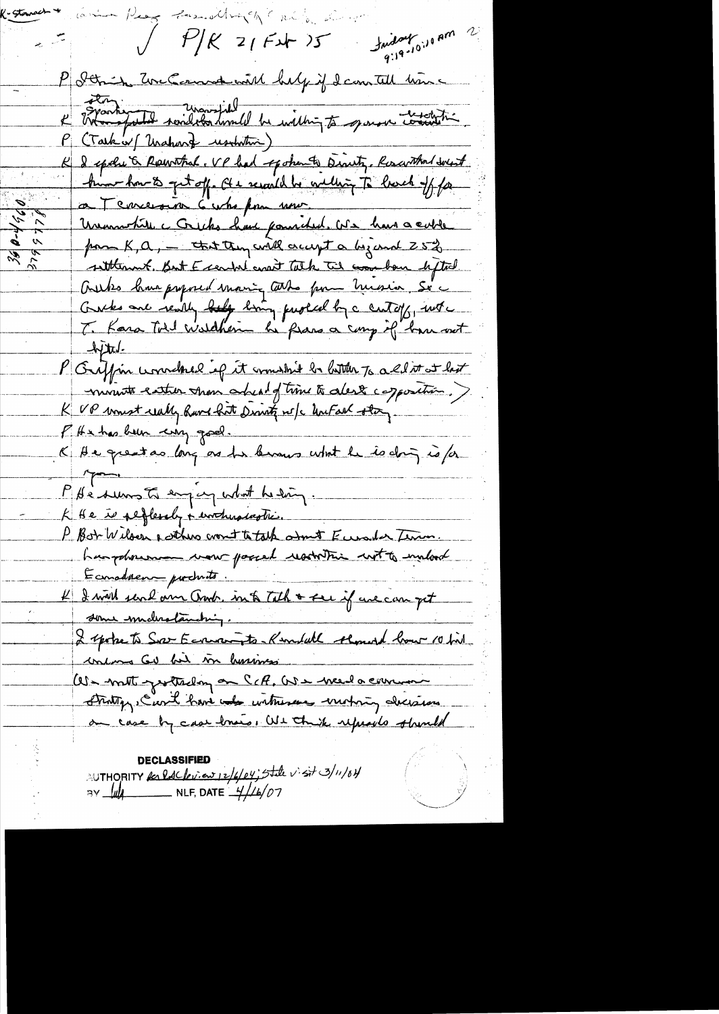K-Stowe Peg familiage ( mi) in  $\sqrt{P/K}$  2/  $F$ xt )5 fundam 2  $\approx$   $\frac{1}{2}$ P Strin Un Connat with help if I can tell him et de la monster de mariale de militaire de la commence de la mention P (Task or [ Urahang usuntin) I spoke a Reservation. VP had spoken to Director, Reservation west him how to get off. He secule he willing To level of for a Terresoire 6 who from now. Uremostile a Greeks have pour deel. We have a cuble par K, a, - that they will accept a bezame 25%  $\frac{3}{2}$ settlement. But Executed and talk til and have held. Cultes have preposed maring Carlo por hussia Src Crocks are really belg bring puoled by a cutoff, international contract .  $dytd.$ P Griffin wondered of it comment to both To a litt at last mount ester Anon abient of time to alest copposition.) K VP woust wally have hit Dimity w/c untack they PH & has been comp good . K Au questas long as la bumes what he is doing is for P He surs to enjoy what he eving. K He is peffectly + inchrationation. P. Bot Wilson & these cront to talk admit Europe Terra.<br>Las polonomes vous poecal resolution crot to inclose Economent products. 4 I will send ann and, into Tith & see if are can get some maderatandring. L'expose to Sov Economiste Kundall Almost bour 10 bil interna GU but in hussings (1) - mit justiseling on CCA, We weed a common Stritty, Euril have water untheres wishing decisions an case by case loses, We think uprove should

| <b>DECLASSIFIED</b>                                             |
|-----------------------------------------------------------------|
|                                                                 |
| SUTHORITY Real of Leview 12/6/04; State visit 3/11/04<br>BY ULA |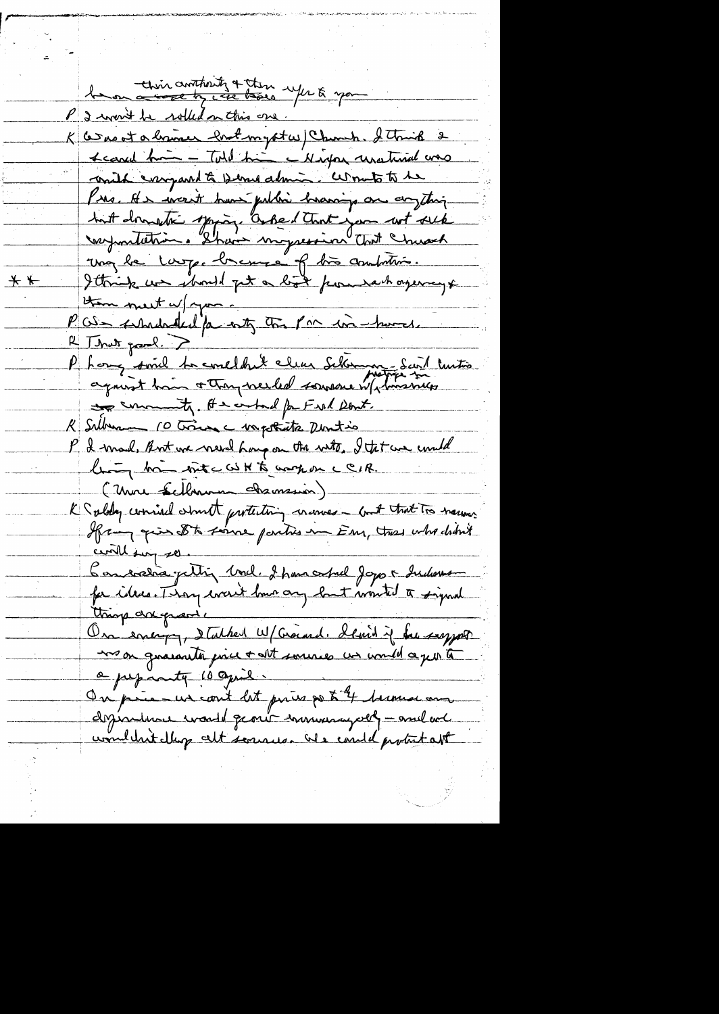this arthrity & then ups & you P 2 mont be willed on this one. K le sa et a lourner hvort myster (Chambre Strink 2 conila crocyant to bene almin women to be Pres. It a moit tous julion brassing on anything ung le Large brenne of très combative. Ittring was ibout of the book pour rach agency &  $\overline{+}$   $\overline{+}$ Hommest w/ aproximation of the form with the moment.  $R$  That good.  $>$ P Long soul te couldn't clear scheman sait untis the England of the world for Full Don't. R Subman 10 trans c inpotente Diritio P. It mad, But we need have on the witte I tet we under ling bin sinte with work on c CIR. (More Sellowen chamasion) K Soldy consisted when it protecting crownes - but that to seem.<br>If any gives to seeme parties in Em, thes who didn't centil sur 20. Conversera pettin voul. I han capiel Joyor Indones things an grave. On energy, Italked W/ Graind. Il mid if he support a perparaty 10 april. On piece un cont let pries part 4 dernier au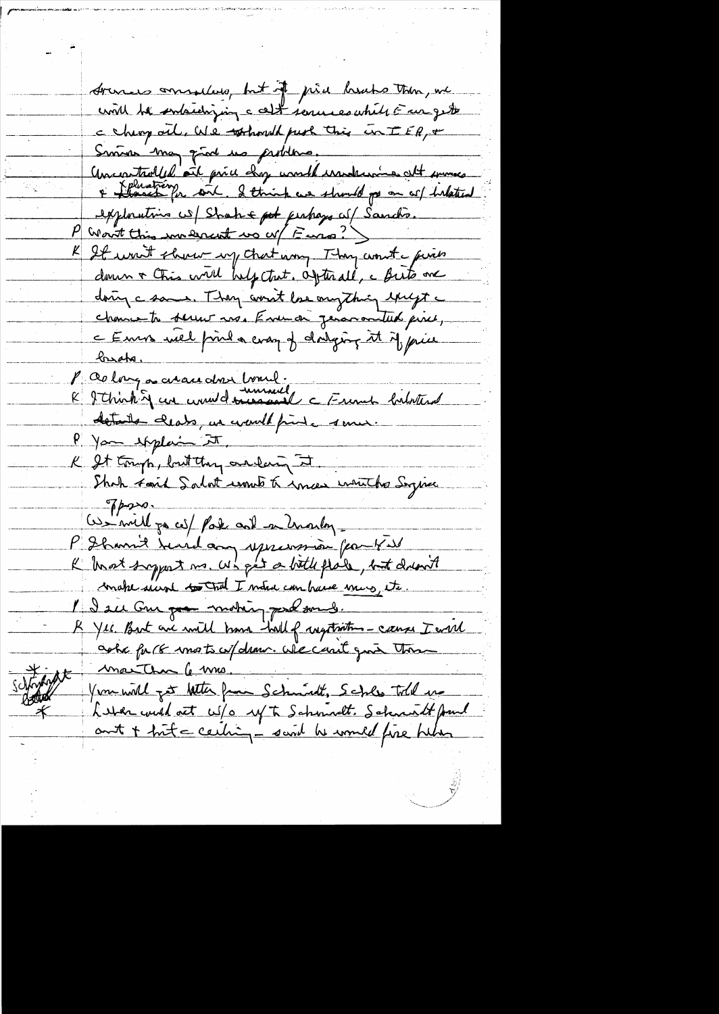trenus amsulves, but if pie bruts then, we with he subsidiring a celt serve es which E are get c chery ail, We whould put this in IER, + Smons ma grad us problems. Uncontrolled ail price choy would essentian at survey exploration we Shake pt perhaps of Sancho. P Won't this wonerant wa or Fara?) K It won't show up that im They won't given down & Chis will help chat. Ofterall, a Buto one doing a same. They won't los anything theyt a chance to server me Even on generanted pixel, - Emis wel find a cray of datging it if pure <u>treatre</u> P colong a avancher bonne.<br>R d'Urink J un unus domenant à French balatterd detaile cleats, un court finde some P. You explain it. K It Comp, but they onlying it Shoh Faid Salat work to meet writchs Soyner  $7000$ Os mill po ces/ Park and en tranhy P Shann't Hard any apressmen for KW K that support ms. Wh get a bitle place, but dreamt inclu single to tral I made can have muy ite. 1 I su Gu <del>pa motin par sond.</del> K Yee But are will have hall of ingetation - cause I will ashe face mots captanon. We can't give them moithus le mo. schrift You will get letter from Schmidt, Schles Told us Azon Liter with act w/o y/t Schmalt. Schnist from <u>'≮</u>